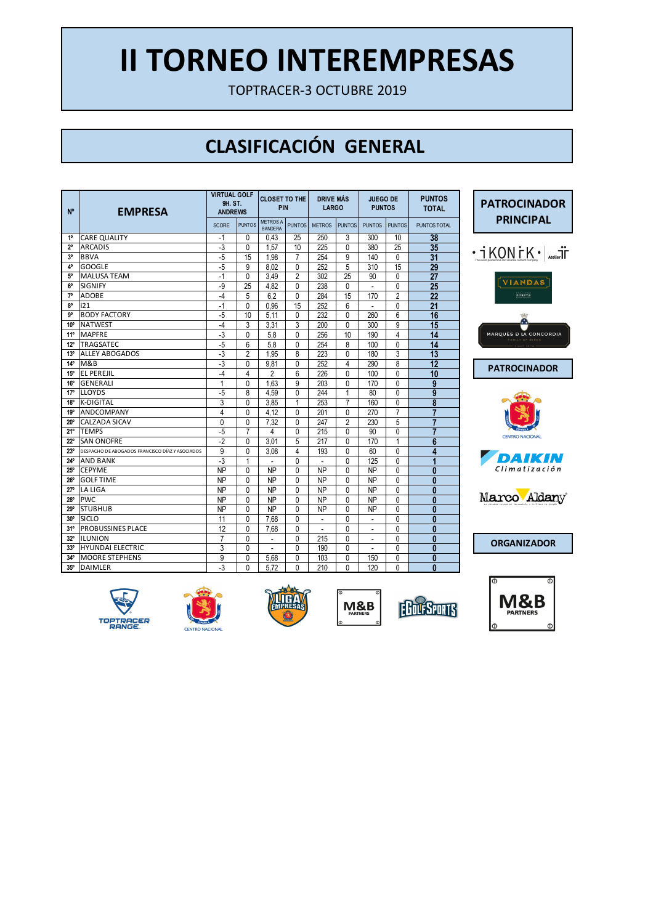TOPTRACER-3 OCTUBRE 2019

## **CLASIFICACIÓN GENERAL**

| N°              | <b>EMPRESA</b>                                  | <b>VIRTUAL GOLF</b><br>9H. ST.<br><b>ANDREWS</b> |                | <b>CLOSET TO THE</b><br>PIN       |                | <b>DRIVE MAS</b><br><b>LARGO</b> |                | <b>JUEGO DE</b><br><b>PUNTOS</b> |                | <b>PUNTOS</b><br><b>TOTAL</b> |
|-----------------|-------------------------------------------------|--------------------------------------------------|----------------|-----------------------------------|----------------|----------------------------------|----------------|----------------------------------|----------------|-------------------------------|
|                 |                                                 | <b>SCORE</b>                                     | <b>PUNTOS</b>  | <b>METROS A</b><br><b>BANDERA</b> | <b>PUNTOS</b>  | <b>METROS</b>                    | <b>PUNTOS</b>  | <b>PUNTOS</b>                    | <b>PUNTOS</b>  | <b>PUNTOS TOTAL</b>           |
| $1^{\circ}$     | <b>CARE QUALITY</b>                             | -1                                               | 0              | 0.43                              | 25             | 250                              | 3              | 300                              | 10             | 38                            |
| $2^{\circ}$     | <b>ARCADIS</b>                                  | $-3$                                             | 0              | 1.57                              | 10             | 225                              | 0              | 380                              | 25             | 35                            |
| 3 <sup>o</sup>  | <b>BBVA</b>                                     | -5                                               | 15             | 1.98                              | $\overline{7}$ | 254                              | 9              | 140                              | 0              | 31                            |
| 4°              | <b>GOOGLE</b>                                   | $-5$                                             | 9              | 8.02                              | $\mathbf{0}$   | 252                              | 5              | 310                              | 15             | 29                            |
| 5°              | <b>MALUSA TEAM</b>                              | $-1$                                             | $\Omega$       | 3.49                              | $\overline{2}$ | 302                              | 25             | 90                               | 0              | $\overline{27}$               |
| 6°              | <b>SIGNIFY</b>                                  | -9                                               | 25             | 4.82                              | $\mathbf{0}$   | 238                              | 0              |                                  | $\mathbf{0}$   | $\overline{25}$               |
| $7^\circ$       | <b>ADOBE</b>                                    | $-4$                                             | 5              | 6.2                               | $\mathbf{0}$   | 284                              | 15             | 170                              | $\overline{2}$ | 22                            |
| 8°              | i21                                             | $-1$                                             | $\Omega$       | 0.96                              | 15             | 252                              | 6              |                                  | $\mathbf{0}$   | $\overline{21}$               |
| <b>g</b> o      | <b>BODY FACTORY</b>                             | $-5$                                             | 10             | 5.11                              | $\mathbf 0$    | 232                              | 0              | 260                              | 6              | 16                            |
| 10 <sup>o</sup> | <b>NATWEST</b>                                  | $-4$                                             | 3              | 3.31                              | 3              | 200                              | 0              | 300                              | 9              | 15                            |
| 11°             | <b>MAPFRE</b>                                   | $-3$                                             | 0              | 5.8                               | 0              | 256                              | 10             | 190                              | 4              | 14                            |
| $12^{\circ}$    | TRAGSATEC                                       | $-5$                                             | 6              | 5,8                               | 0              | 254                              | 8              | 100                              | 0              | 14                            |
| 13 <sup>o</sup> | <b>ALLEY ABOGADOS</b>                           | -3                                               | $\overline{2}$ | 1.95                              | 8              | 223                              | 0              | 180                              | 3              | 13                            |
| $14^{\circ}$    | M&B                                             | $-3$                                             | $\Omega$       | 9.81                              | 0              | 252                              | 4              | 290                              | 8              | 12                            |
| 15°             | <b>EL PEREJIL</b>                               | $-4$                                             | 4              | $\overline{2}$                    | 6              | 226                              | 0              | 100                              | 0              | 10                            |
| 16°             | <b>GENERALI</b>                                 | 1                                                | $\Omega$       | 1.63                              | 9              | 203                              | 0              | 170                              | 0              | 9                             |
| 17 <sup>°</sup> | <b>LLOYDS</b>                                   | $-5$                                             | 8              | 4.59                              | $\mathbf{0}$   | 244                              | $\mathbf{1}$   | 80                               | $\mathbf{0}$   | 9                             |
| 18 <sup>o</sup> | <b>K-DIGITAL</b>                                | 3                                                | 0              | 3.85                              | 1              | 253                              | $\overline{7}$ | 160                              | 0              | 8                             |
| 19°             | ANDCOMPANY                                      | 4                                                | 0              | 4.12                              | 0              | 201                              | 0              | 270                              | $\overline{7}$ | 7                             |
| $20^{\circ}$    | CALZADA SICAV                                   | 0                                                | 0              | 7.32                              | $\mathbf{0}$   | 247                              | $\overline{2}$ | 230                              | 5              | 7                             |
| $21^{\circ}$    | <b>TEMPS</b>                                    | $-5$                                             | 7              | 4                                 | 0              | 215                              | 0              | 90                               | 0              | $\overline{7}$                |
| $22^{\circ}$    | <b>SAN ONOFRE</b>                               | $-2$                                             | 0              | 3.01                              | 5              | 217                              | 0              | 170                              | 1              | 6                             |
| 23°             | DESPACHO DE ABOGADOS FRANCISCO DÍAZ Y ASOCIADOS | 9                                                | $\Omega$       | 3.08                              | 4              | 193                              | 0              | 60                               | 0              | 4                             |
| $24^{\circ}$    | <b>AND BANK</b>                                 | $-3$                                             | 1              |                                   | $\mathbf{0}$   |                                  | 0              | 125                              | 0              | 1                             |
| $25^\circ$      | <b>CEPYME</b>                                   | <b>NP</b>                                        | $\Omega$       | <b>NP</b>                         | $\Omega$       | <b>NP</b>                        | 0              | <b>NP</b>                        | 0              | 0                             |
| $26^{\circ}$    | <b>GOLF TIME</b>                                | <b>NP</b>                                        | $\Omega$       | <b>NP</b>                         | $\mathbf{0}$   | <b>NP</b>                        | 0              | <b>NP</b>                        | $\mathbf{0}$   | 0                             |
| 27°             | LA LIGA                                         | <b>NP</b>                                        | $\Omega$       | <b>NP</b>                         | $\mathbf{0}$   | <b>NP</b>                        | 0              | <b>NP</b>                        | 0              | 0                             |
| 28°             | <b>PWC</b>                                      | <b>NP</b>                                        | $\Omega$       | <b>NP</b>                         | $\mathbf{0}$   | <b>NP</b>                        | 0              | <b>NP</b>                        | 0              | 0                             |
| 29°             | <b>STUBHUB</b>                                  | <b>NP</b>                                        | 0              | <b>NP</b>                         | 0              | <b>NP</b>                        | 0              | <b>NP</b>                        | 0              | $\bf{0}$                      |
| $30^{\circ}$    | <b>SICLO</b>                                    | 11                                               | $\Omega$       | 7.68                              | 0              |                                  | 0              |                                  | 0              | 0                             |
| 31°             | PROBUSSINES PLACE                               | 12                                               | $\Omega$       | 7.68                              | $\mathbf{0}$   |                                  | 0              |                                  | 0              | $\bf{0}$                      |
| $32^{\circ}$    | <b>ILUNION</b>                                  | 7                                                | $\Omega$       | ÷.                                | 0              | 215                              | 0              | ٠                                | 0              | $\bf{0}$                      |
| 33°             | <b>HYUNDAI ELECTRIC</b>                         | 3                                                | $\Omega$       |                                   | 0              | 190                              | 0              | $\overline{a}$                   | $\mathbf{0}$   | $\bf{0}$                      |
| 34°             | <b>MOORE STEPHENS</b>                           | 9                                                | $\mathbf{0}$   | 5.68                              | 0              | 103                              | 0              | 150                              | 0              | 0                             |
| 35°             | <b>DAIMLER</b>                                  | $-3$                                             | $\Omega$       | 5.72                              | 0              | 210                              | 0              | 120                              | $\mathbf{0}$   | 0                             |



**PATROCINADOR** 









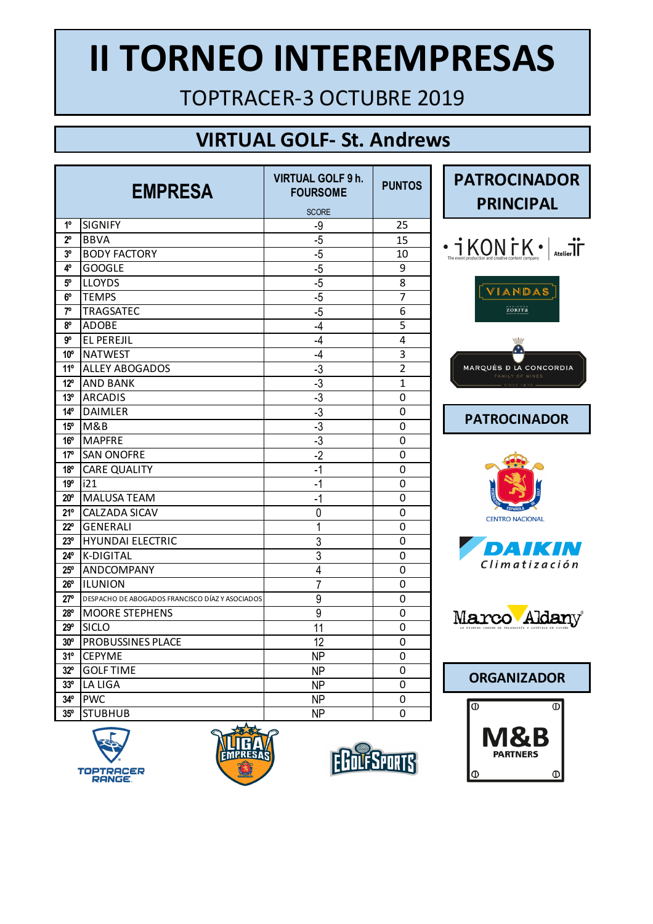TOPTRACER-3 OCTUBRE 2019

### **VIRTUAL GOLF- St. Andrews**

| <b>EMPRESA</b>  |                                                 | <b>VIRTUAL GOLF 9 h.</b><br><b>FOURSOME</b> | <b>PUNTOS</b>  |
|-----------------|-------------------------------------------------|---------------------------------------------|----------------|
|                 |                                                 | <b>SCORE</b>                                |                |
| 1 <sup>0</sup>  | <b>SIGNIFY</b>                                  | -9                                          | 25             |
| $2^{\circ}$     | <b>BBVA</b>                                     | $-5$                                        | 15             |
| 3°              | <b>BODY FACTORY</b>                             | $-5$                                        | 10             |
| 4°              | <b>GOOGLE</b>                                   | $-5$                                        | 9              |
| $5^{\circ}$     | <b>LLOYDS</b>                                   | $-5$                                        | 8              |
| 6°              | TEMPS                                           | $-5$                                        | 7              |
| 7 <sup>0</sup>  | <b>TRAGSATEC</b>                                | $-5$                                        | 6              |
| 80              | ADOBE                                           | $-4$                                        | 5              |
| go              | <b>EL PEREJIL</b>                               | $-4$                                        | 4              |
| 10 <sup>o</sup> | <b>NATWEST</b>                                  | -4                                          | 3              |
| 11°             | <b>ALLEY ABOGADOS</b>                           | -3                                          | $\overline{2}$ |
| $12^{\circ}$    | <b>AND BANK</b>                                 | -3                                          | $\overline{1}$ |
| 13 <sup>°</sup> | <b>ARCADIS</b>                                  | $-3$                                        | 0              |
| 14 <sup>°</sup> | <b>DAIMLER</b>                                  | $-3$                                        | 0              |
| 15 <sup>o</sup> | M&B                                             | $-3$                                        | 0              |
| 16 <sup>o</sup> | <b>MAPFRE</b>                                   | $-3$                                        | 0              |
| 17 <sup>°</sup> | <b>SAN ONOFRE</b>                               | $\overline{2}$                              | 0              |
| 18 <sup>o</sup> | <b>CARE QUALITY</b>                             | $-1$                                        | 0              |
| 19°             | i21                                             | $-1$                                        | 0              |
| $20^{\circ}$    | <b>MALUSA TEAM</b>                              | $-1$                                        | 0              |
| 21°             | CALZADA SICAV                                   | 0                                           | 0              |
| $22^{\circ}$    | <b>GENERALI</b>                                 | 1                                           | 0              |
| 23 <sup>o</sup> | <b>HYUNDAI ELECTRIC</b>                         | 3                                           | 0              |
| $24^\circ$      | K-DIGITAL                                       | 3                                           | 0              |
| $25^{\circ}$    | ANDCOMPANY                                      | 4                                           | 0              |
| $26^{\circ}$    | <b>ILUNION</b>                                  | $\overline{7}$                              | 0              |
| 27°             | DESPACHO DE ABOGADOS FRANCISCO DÍAZ Y ASOCIADOS | 9                                           | 0              |
| $28^{\circ}$    | <b>MOORE STEPHENS</b>                           | 9                                           | 0              |
| 29°             | <b>SICLO</b>                                    | 11                                          | 0              |
| $30^{\circ}$    | PROBUSSINES PLACE                               | 12                                          | 0              |
| 31°             | <b>CEPYME</b>                                   | <b>NP</b>                                   | 0              |
| $32^{\circ}$    | <b>GOLF TIME</b>                                | <b>NP</b>                                   | 0              |
| 33 <sup>o</sup> | LA LIGA                                         | <b>NP</b>                                   | 0              |
| $34^\circ$      | <b>PWC</b>                                      | <b>NP</b>                                   | 0              |
| 35°             | <b>STUBHUB</b>                                  | <b>NP</b>                                   | 0              |











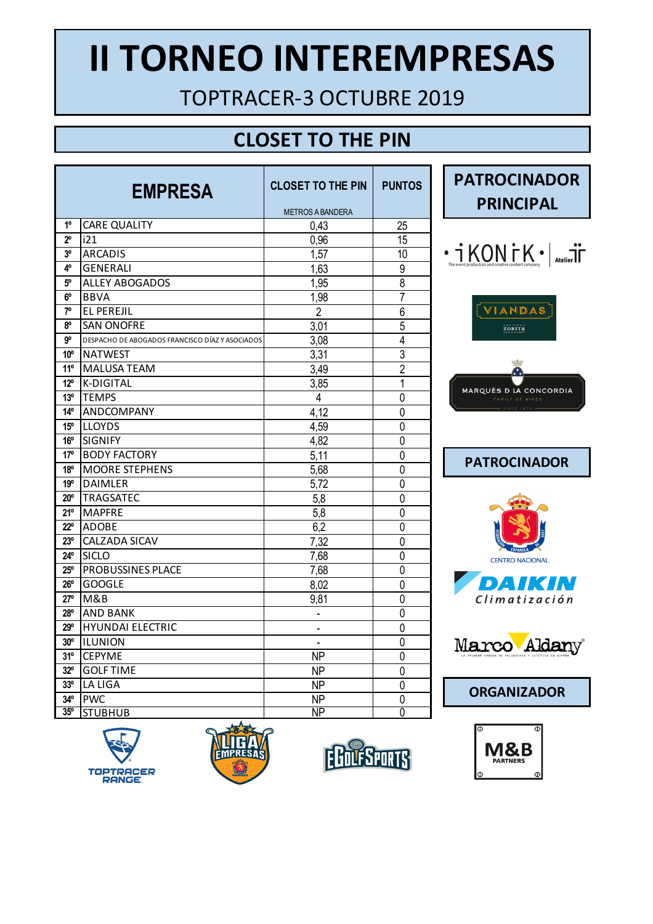TOPTRACER-3 OCTUBRE 2019

## **CLOSET TO THE PIN**

| <b>EMPRESA</b>  |                                                 | <b>CLOSET TO THE PIN</b>     | <b>PUNTOS</b>  |
|-----------------|-------------------------------------------------|------------------------------|----------------|
|                 |                                                 | <b>METROS A BANDERA</b>      |                |
| 1 <sup>0</sup>  | <b>CARE QUALITY</b>                             | 0,43                         | 25             |
| $2^{\circ}$     | i21                                             | 0,96                         | 15             |
| 3 <sup>o</sup>  | <b>ARCADIS</b>                                  | 1,57                         | 10             |
| 4°              | <b>GENERALI</b>                                 | 1,63                         | 9              |
| 5°              | <b>ALLEY ABOGADOS</b>                           | 1,95                         | $\overline{8}$ |
| $6^{\circ}$     | <b>BBVA</b>                                     | 1,98                         | 7              |
| $7^{\circ}$     | <b>EL PEREJIL</b>                               | $\overline{2}$               | $\overline{6}$ |
| 80              | <b>SAN ONOFRE</b>                               | 3,01                         | 5              |
| go              | DESPACHO DE ABOGADOS FRANCISCO DÍAZ Y ASOCIADOS | 3,08                         | $\overline{4}$ |
| 10 <sup>o</sup> | <b>NATWEST</b>                                  | 3,31                         | $\overline{3}$ |
| 11°             | <b>MALUSA TEAM</b>                              | 3,49                         | $\overline{2}$ |
| $12^{\circ}$    | <b>K-DIGITAL</b>                                | 3,85                         | 1              |
| 13 <sup>°</sup> | <b>TEMPS</b>                                    | $\overline{4}$               | 0              |
| 14 <sup>°</sup> | ANDCOMPANY                                      | 4,12                         | 0              |
| 15 <sup>o</sup> | <b>LLOYDS</b>                                   | 4,59                         | 0              |
| 16 <sup>o</sup> | <b>SIGNIFY</b>                                  | 4,82                         | 0              |
| 17°             | <b>BODY FACTORY</b>                             | 5,11                         | $\overline{0}$ |
| 18 <sup>o</sup> | <b>MOORE STEPHENS</b>                           | 5,68                         | 0              |
| 19°             | <b>DAIMLER</b>                                  | 5,72                         | 0              |
| $20^\circ$      | <b>TRAGSATEC</b>                                | 5,8                          | 0              |
| 21°             | <b>MAPFRE</b>                                   | 5,8                          | 0              |
| $22^{\circ}$    | <b>ADOBE</b>                                    | 6,2                          | 0              |
| $23^{\circ}$    | CALZADA SICAV                                   | 7,32                         | 0              |
| $24^\circ$      | <b>SICLO</b>                                    | 7,68                         | 0              |
| 25°             | PROBUSSINES PLACE                               | 7,68                         | 0              |
| $26^{\circ}$    | <b>GOOGLE</b>                                   | 8,02                         | 0              |
| $27^\circ$      | M&B                                             | 9,81                         | 0              |
| $28^{\circ}$    | <b>AND BANK</b>                                 | $\overline{a}$               | 0              |
| 29°             | <b>HYUNDAI ELECTRIC</b>                         | -                            | 0              |
| 30 <sup>o</sup> | <b>ILUNION</b>                                  | $\qquad \qquad \blacksquare$ | 0              |
| 31°             | <b>CEPYME</b>                                   | <b>NP</b>                    | $\mathbf{0}$   |
| $32^{\circ}$    | <b>GOLF TIME</b>                                | <b>NP</b>                    | 0              |
| 33 <sup>o</sup> | LA LIGA                                         | <b>NP</b>                    | 0              |
| $34^\circ$      | <b>PWC</b>                                      | <b>NP</b>                    | 0              |
| $35^\circ$      | <b>STUBHUB</b>                                  | NΡ                           | 0              |











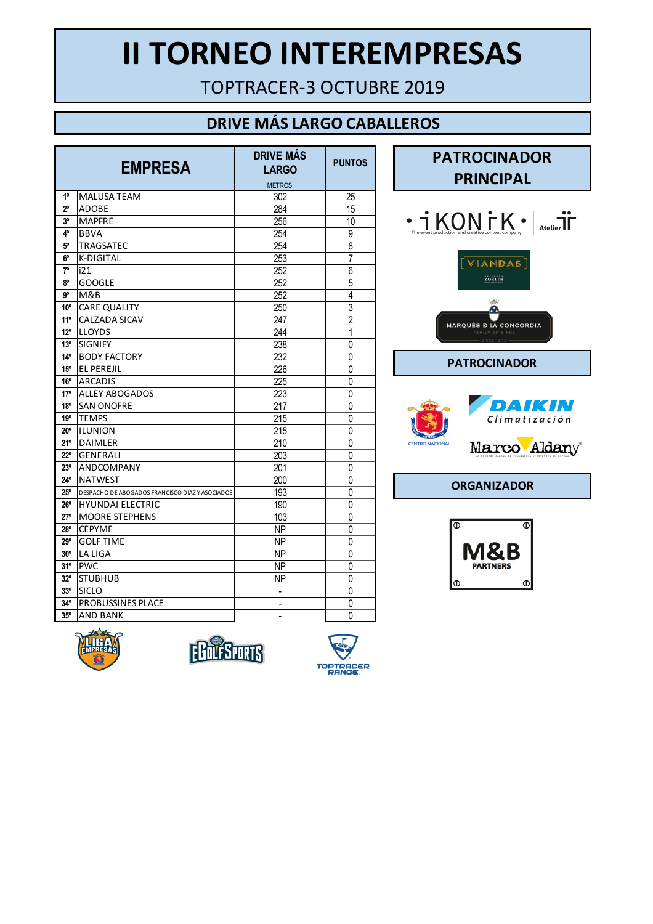TOPTRACER-3 OCTUBRE 2019

#### **DRIVE MÁS LARGO CABALLEROS**

|                 | <b>EMPRESA</b>                                  | <b>DRIVE MÁS</b><br><b>LARGO</b> | <b>PUNTOS</b>  |
|-----------------|-------------------------------------------------|----------------------------------|----------------|
|                 |                                                 | <b>METROS</b>                    |                |
| $1^{\circ}$     | <b>MALUSA TEAM</b>                              | 302                              | 25             |
| $2^{\circ}$     | <b>ADOBE</b>                                    | 284                              | 15             |
| 3°              | <b>MAPFRE</b>                                   | 256                              | 10             |
| 4°              | <b>BBVA</b>                                     | 254                              | 9              |
| 5°              | <b>TRAGSATEC</b>                                | 254                              | $\overline{8}$ |
| 6°              | K-DIGITAL                                       | 253                              | $\overline{7}$ |
| 7°              | i21                                             | 252                              | 6              |
| 8°              | <b>GOOGLE</b>                                   | 252                              | 5              |
| g°              | M&B                                             | 252                              | 4              |
| 10 <sup>o</sup> | <b>CARE QUALITY</b>                             | 250                              | $\overline{3}$ |
| 11°             | CALZADA SICAV                                   | 247                              | $\overline{2}$ |
| $12^{\circ}$    | <b>LLOYDS</b>                                   | 244                              | 1              |
| 13 <sup>°</sup> | <b>SIGNIFY</b>                                  | 238                              | $\mathbf 0$    |
| 14 <sup>°</sup> | <b>BODY FACTORY</b>                             | 232                              | 0              |
| 15 <sup>o</sup> | EL PEREJIL                                      | 226                              | 0              |
| $16^{\circ}$    | <b>ARCADIS</b>                                  | 225                              | 0              |
| 17°             | <b>ALLEY ABOGADOS</b>                           | 223                              | 0              |
| $18^{\circ}$    | <b>SAN ONOFRE</b>                               | 217                              | 0              |
| 19°             | <b>TEMPS</b>                                    | 215                              | 0              |
| $20^{\circ}$    | <b>ILUNION</b>                                  | 215                              | 0              |
| 21°             | <b>DAIMLER</b>                                  | 210                              | 0              |
| 22°             | <b>GENERALI</b>                                 | 203                              | 0              |
| 23 <sup>o</sup> | ANDCOMPANY                                      | 201                              | 0              |
| $24^{\circ}$    | <b>NATWEST</b>                                  | 200                              | 0              |
| $25^{\circ}$    | DESPACHO DE ABOGADOS FRANCISCO DÍAZ Y ASOCIADOS | 193                              | 0              |
| 26°             | <b>HYUNDAI ELECTRIC</b>                         | 190                              | 0              |
| $27^\circ$      | <b>MOORE STEPHENS</b>                           | 103                              | 0              |
| 28°             | <b>CEPYME</b>                                   | <b>NP</b>                        | 0              |
| $29^\circ$      | <b>GOLF TIME</b>                                | <b>NP</b>                        | 0              |
| $30^{\circ}$    | <b>LA LIGA</b>                                  | <b>NP</b>                        | 0              |
| 31°             | <b>PWC</b>                                      | NΡ                               | 0              |
| $32^{\circ}$    | <b>STUBHUB</b>                                  | <b>NP</b>                        | 0              |
| 33 <sup>o</sup> | <b>SICLO</b>                                    | -                                | 0              |
| 34°             | <b>PROBUSSINES PLACE</b>                        | -                                | 0              |
| $35^{\circ}$    | <b>AND BANK</b>                                 | $\overline{a}$                   | 0              |